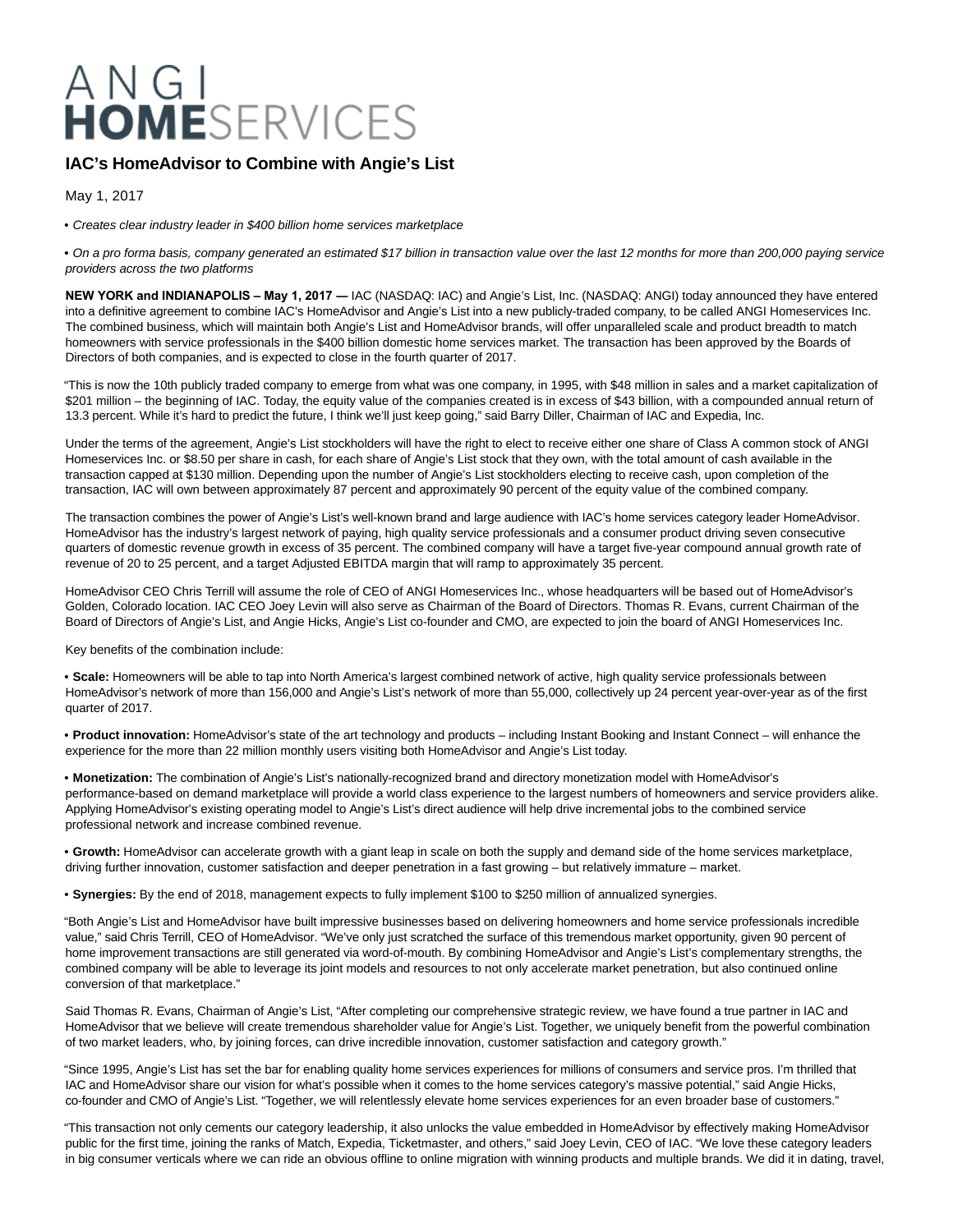# ANGI<br>HOMESERVICES

# **IAC's HomeAdvisor to Combine with Angie's List**

May 1, 2017

• Creates clear industry leader in \$400 billion home services marketplace

• On a pro forma basis, company generated an estimated \$17 billion in transaction value over the last 12 months for more than 200,000 paying service providers across the two platforms

**NEW YORK and INDIANAPOLIS – May 1, 2017 ―** IAC (NASDAQ: IAC) and Angie's List, Inc. (NASDAQ: ANGI) today announced they have entered into a definitive agreement to combine IAC's HomeAdvisor and Angie's List into a new publicly-traded company, to be called ANGI Homeservices Inc. The combined business, which will maintain both Angie's List and HomeAdvisor brands, will offer unparalleled scale and product breadth to match homeowners with service professionals in the \$400 billion domestic home services market. The transaction has been approved by the Boards of Directors of both companies, and is expected to close in the fourth quarter of 2017.

"This is now the 10th publicly traded company to emerge from what was one company, in 1995, with \$48 million in sales and a market capitalization of \$201 million – the beginning of IAC. Today, the equity value of the companies created is in excess of \$43 billion, with a compounded annual return of 13.3 percent. While it's hard to predict the future, I think we'll just keep going," said Barry Diller, Chairman of IAC and Expedia, Inc.

Under the terms of the agreement, Angie's List stockholders will have the right to elect to receive either one share of Class A common stock of ANGI Homeservices Inc. or \$8.50 per share in cash, for each share of Angie's List stock that they own, with the total amount of cash available in the transaction capped at \$130 million. Depending upon the number of Angie's List stockholders electing to receive cash, upon completion of the transaction, IAC will own between approximately 87 percent and approximately 90 percent of the equity value of the combined company.

The transaction combines the power of Angie's List's well-known brand and large audience with IAC's home services category leader HomeAdvisor. HomeAdvisor has the industry's largest network of paying, high quality service professionals and a consumer product driving seven consecutive quarters of domestic revenue growth in excess of 35 percent. The combined company will have a target five-year compound annual growth rate of revenue of 20 to 25 percent, and a target Adjusted EBITDA margin that will ramp to approximately 35 percent.

HomeAdvisor CEO Chris Terrill will assume the role of CEO of ANGI Homeservices Inc., whose headquarters will be based out of HomeAdvisor's Golden, Colorado location. IAC CEO Joey Levin will also serve as Chairman of the Board of Directors. Thomas R. Evans, current Chairman of the Board of Directors of Angie's List, and Angie Hicks, Angie's List co-founder and CMO, are expected to join the board of ANGI Homeservices Inc.

Key benefits of the combination include:

• **Scale:** Homeowners will be able to tap into North America's largest combined network of active, high quality service professionals between HomeAdvisor's network of more than 156,000 and Angie's List's network of more than 55,000, collectively up 24 percent year-over-year as of the first quarter of 2017.

• **Product innovation:** HomeAdvisor's state of the art technology and products – including Instant Booking and Instant Connect – will enhance the experience for the more than 22 million monthly users visiting both HomeAdvisor and Angie's List today.

• **Monetization:** The combination of Angie's List's nationally-recognized brand and directory monetization model with HomeAdvisor's performance-based on demand marketplace will provide a world class experience to the largest numbers of homeowners and service providers alike. Applying HomeAdvisor's existing operating model to Angie's List's direct audience will help drive incremental jobs to the combined service professional network and increase combined revenue.

• **Growth:** HomeAdvisor can accelerate growth with a giant leap in scale on both the supply and demand side of the home services marketplace, driving further innovation, customer satisfaction and deeper penetration in a fast growing – but relatively immature – market.

• **Synergies:** By the end of 2018, management expects to fully implement \$100 to \$250 million of annualized synergies.

"Both Angie's List and HomeAdvisor have built impressive businesses based on delivering homeowners and home service professionals incredible value," said Chris Terrill, CEO of HomeAdvisor. "We've only just scratched the surface of this tremendous market opportunity, given 90 percent of home improvement transactions are still generated via word-of-mouth. By combining HomeAdvisor and Angie's List's complementary strengths, the combined company will be able to leverage its joint models and resources to not only accelerate market penetration, but also continued online conversion of that marketplace."

Said Thomas R. Evans, Chairman of Angie's List, "After completing our comprehensive strategic review, we have found a true partner in IAC and HomeAdvisor that we believe will create tremendous shareholder value for Angie's List. Together, we uniquely benefit from the powerful combination of two market leaders, who, by joining forces, can drive incredible innovation, customer satisfaction and category growth."

"Since 1995, Angie's List has set the bar for enabling quality home services experiences for millions of consumers and service pros. I'm thrilled that IAC and HomeAdvisor share our vision for what's possible when it comes to the home services category's massive potential," said Angie Hicks, co-founder and CMO of Angie's List. "Together, we will relentlessly elevate home services experiences for an even broader base of customers."

"This transaction not only cements our category leadership, it also unlocks the value embedded in HomeAdvisor by effectively making HomeAdvisor public for the first time, joining the ranks of Match, Expedia, Ticketmaster, and others," said Joey Levin, CEO of IAC. "We love these category leaders in big consumer verticals where we can ride an obvious offline to online migration with winning products and multiple brands. We did it in dating, travel,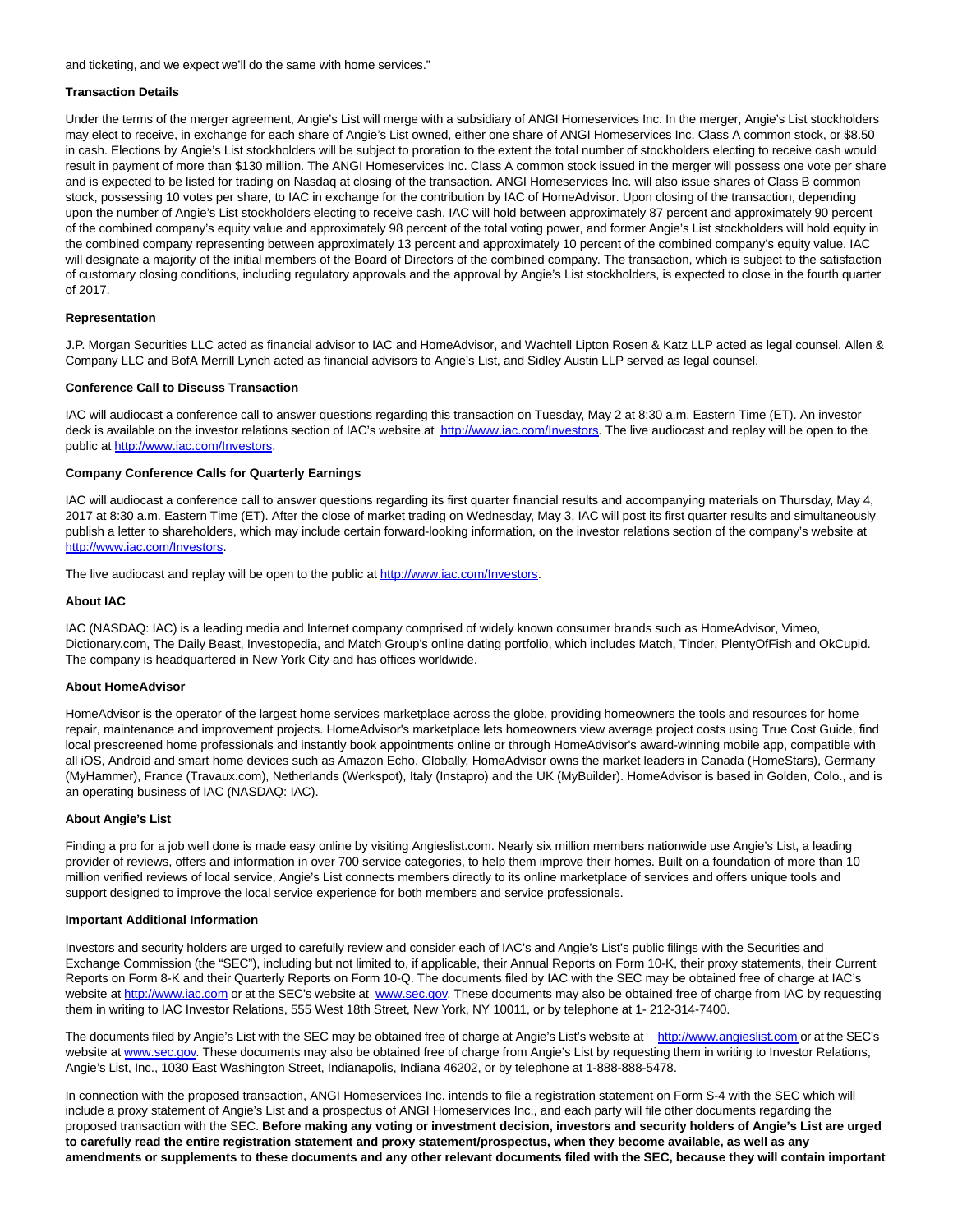and ticketing, and we expect we'll do the same with home services."

## **Transaction Details**

Under the terms of the merger agreement, Angie's List will merge with a subsidiary of ANGI Homeservices Inc. In the merger, Angie's List stockholders may elect to receive, in exchange for each share of Angie's List owned, either one share of ANGI Homeservices Inc. Class A common stock, or \$8.50 in cash. Elections by Angie's List stockholders will be subject to proration to the extent the total number of stockholders electing to receive cash would result in payment of more than \$130 million. The ANGI Homeservices Inc. Class A common stock issued in the merger will possess one vote per share and is expected to be listed for trading on Nasdaq at closing of the transaction. ANGI Homeservices Inc. will also issue shares of Class B common stock, possessing 10 votes per share, to IAC in exchange for the contribution by IAC of HomeAdvisor. Upon closing of the transaction, depending upon the number of Angie's List stockholders electing to receive cash, IAC will hold between approximately 87 percent and approximately 90 percent of the combined company's equity value and approximately 98 percent of the total voting power, and former Angie's List stockholders will hold equity in the combined company representing between approximately 13 percent and approximately 10 percent of the combined company's equity value. IAC will designate a majority of the initial members of the Board of Directors of the combined company. The transaction, which is subject to the satisfaction of customary closing conditions, including regulatory approvals and the approval by Angie's List stockholders, is expected to close in the fourth quarter of 2017.

# **Representation**

J.P. Morgan Securities LLC acted as financial advisor to IAC and HomeAdvisor, and Wachtell Lipton Rosen & Katz LLP acted as legal counsel. Allen & Company LLC and BofA Merrill Lynch acted as financial advisors to Angie's List, and Sidley Austin LLP served as legal counsel.

#### **Conference Call to Discuss Transaction**

IAC will audiocast a conference call to answer questions regarding this transaction on Tuesday, May 2 at 8:30 a.m. Eastern Time (ET). An investor deck is available on the investor relations section of IAC's website at [http://www.iac.com/Investors.](http://www.iac.com/Investors) The live audiocast and replay will be open to the public at [http://www.iac.com/Investors.](http://www.iac.com/Investors)

## **Company Conference Calls for Quarterly Earnings**

IAC will audiocast a conference call to answer questions regarding its first quarter financial results and accompanying materials on Thursday, May 4, 2017 at 8:30 a.m. Eastern Time (ET). After the close of market trading on Wednesday, May 3, IAC will post its first quarter results and simultaneously publish a letter to shareholders, which may include certain forward-looking information, on the investor relations section of the company's website at [http://www.iac.com/Investors.](http://www.iac.com/Investors)

The live audiocast and replay will be open to the public a[t http://www.iac.com/Investors.](http://www.iac.com/Investors)

# **About IAC**

IAC (NASDAQ: IAC) is a leading media and Internet company comprised of widely known consumer brands such as HomeAdvisor, Vimeo, Dictionary.com, The Daily Beast, Investopedia, and Match Group's online dating portfolio, which includes Match, Tinder, PlentyOfFish and OkCupid. The company is headquartered in New York City and has offices worldwide.

#### **About HomeAdvisor**

HomeAdvisor is the operator of the largest home services marketplace across the globe, providing homeowners the tools and resources for home repair, maintenance and improvement projects. HomeAdvisor's marketplace lets homeowners view average project costs using True Cost Guide, find local prescreened home professionals and instantly book appointments online or through HomeAdvisor's award-winning mobile app, compatible with all iOS, Android and smart home devices such as Amazon Echo. Globally, HomeAdvisor owns the market leaders in Canada (HomeStars), Germany (MyHammer), France (Travaux.com), Netherlands (Werkspot), Italy (Instapro) and the UK (MyBuilder). HomeAdvisor is based in Golden, Colo., and is an operating business of IAC (NASDAQ: IAC).

#### **About Angie's List**

Finding a pro for a job well done is made easy online by visiting Angieslist.com. Nearly six million members nationwide use Angie's List, a leading provider of reviews, offers and information in over 700 service categories, to help them improve their homes. Built on a foundation of more than 10 million verified reviews of local service, Angie's List connects members directly to its online marketplace of services and offers unique tools and support designed to improve the local service experience for both members and service professionals.

#### **Important Additional Information**

Investors and security holders are urged to carefully review and consider each of IAC's and Angie's List's public filings with the Securities and Exchange Commission (the "SEC"), including but not limited to, if applicable, their Annual Reports on Form 10-K, their proxy statements, their Current Reports on Form 8-K and their Quarterly Reports on Form 10-Q. The documents filed by IAC with the SEC may be obtained free of charge at IAC's website at [http://www.iac.com o](http://www.iac.com/)r at the SEC's website at [www.sec.gov.](http://www.sec.gov/) These documents may also be obtained free of charge from IAC by requesting them in writing to IAC Investor Relations, 555 West 18th Street, New York, NY 10011, or by telephone at 1- 212-314-7400.

The documents filed by Angie's List with the SEC may be obtained free of charge at Angie's List's website at [http://www.angieslist.com o](http://www.angieslist.com/)r at the SEC's website at [www.sec.gov.](http://www.sec.gov/) These documents may also be obtained free of charge from Angie's List by requesting them in writing to Investor Relations, Angie's List, Inc., 1030 East Washington Street, Indianapolis, Indiana 46202, or by telephone at 1-888-888-5478.

In connection with the proposed transaction, ANGI Homeservices Inc. intends to file a registration statement on Form S-4 with the SEC which will include a proxy statement of Angie's List and a prospectus of ANGI Homeservices Inc., and each party will file other documents regarding the proposed transaction with the SEC. **Before making any voting or investment decision, investors and security holders of Angie's List are urged to carefully read the entire registration statement and proxy statement/prospectus, when they become available, as well as any amendments or supplements to these documents and any other relevant documents filed with the SEC, because they will contain important**